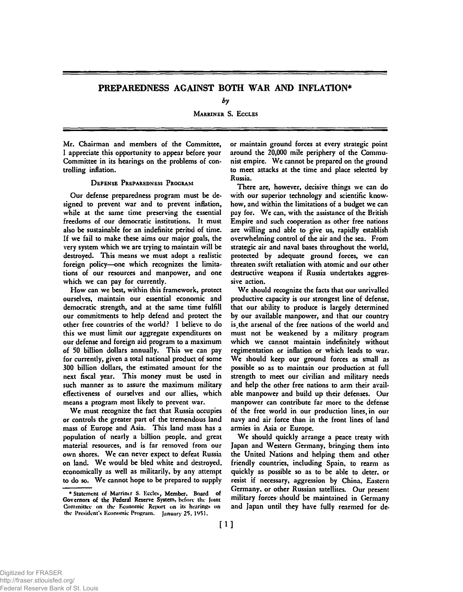# PREPAREDNESS AGAINST BOTH WAR AND INFLATION\*

*by* 

MARRINER S. ECCLES

Mr. Chairman and members of the Committee, I appreciate this opportunity to appear before your Committee in its hearings on the problems of controlling inflation.

## DEFENSE PREPAREDNESS PROGRAM

Our defense preparedness program must be designed to prevent war and to prevent inflation, while at the same time preserving the essential freedoms of our democratic institutions. It must also be sustainable for an indefinite period of time. If we fail to make these aims our major goals, the very system which we are trying to maintain will be destroyed. This means we must adopt a realistic foreign policy—one which recognizes the limitations of our resources and manpower, and one which we can pay for currently.

How can we best, within this framework, protect ourselves, maintain our essential economic and democratic strength, and at the same time fulfill our commitments to help defend and protect the other free countries of the world? I believe to do this we must limit our aggregate expenditures on our defense and foreign aid program to a maximum of 50 billion dollars annually. This we can pay for currently, given a total national product of some 300 billion dollars, the estimated amount for the next fiscal year. This money must be used in such manner as to assure the maximum military effectiveness of ourselves and our allies, which means a program most likely to prevent war.

We must recognize the fact that Russia occupies or controls the greater part of the tremendous land mass of Europe and Asia. This land mass has a population of nearly a billion people, and great material resources, and is far removed from our own shores. We can never expect to defeat Russia on land. We would be bled white and destroyed, economically as well as militarily, by any attempt to do so. We cannot hope to be prepared to supply

or maintain ground forces at every strategic point around the 20,000 mile periphery of the Communist empire. We cannot be prepared on the ground to meet attacks at the time and place selected by Russia.

There are, however, decisive things we can do with our superior technology and scientific knowhow, and within the limitations of a budget we can pay for. We can, with the assistance of the British Empire and such cooperation as other free nations are willing and able to give us, rapidly establish overwhelming control of the air and the sea. From strategic air and naval bases throughout the world, protected by adequate ground forces, we can threaten swift retaliation with atomic and our other destructive weapons if Russia undertakes aggressive action.

We should recognize the facts that our unrivalled productive capacity is our strongest line of defense, that our ability to produce is largely determined by our available manpower, and that our country is,the arsenal of the free nations of the world and must not be weakened by a military program which we cannot maintain indefinitely without regimentation or inflation or which leads to war. We should keep our ground forces as small as possible so as to maintain our production at full strength to meet our civilian and military needs and help the other free nations to arm their available manpower and build up their defenses. Our manpower can contribute far more to the defense 6f the free world in our production lines, in our navy and air force than in the front lines of land armies in Asia or Europe.

We should quickly arrange a peace treaty with Japan and Western Germany, bringing them into the United Nations and helping them and other friendly countries, including Spain, to rearm as quickly as possible so as to be able to deter, or resist if necessary, aggression by China, Eastern Germany, or other Russian satellites. Our present military forces should be maintained in Germany and Japan until they have fully rearmed for de-

<sup>•</sup>Statement of Marriner S. Eccles, Member. Board of Governors of the Federal Reserve System, before the Joint Committee on the Economic Report on its hearings on the President's Economic Program. January 25, 1951.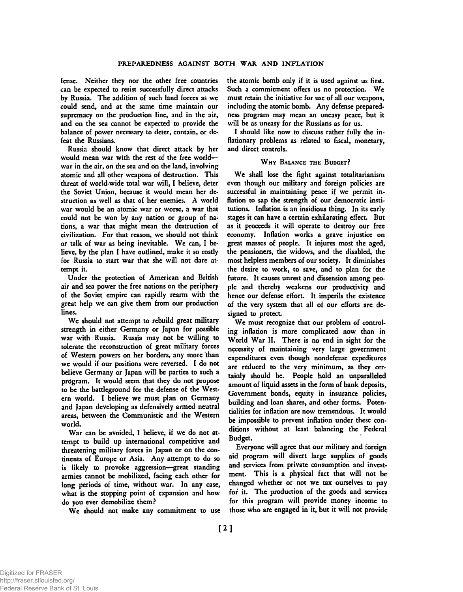fense. Neither they nor the other free countries can be expected to resist successfully direct attacks by Russia. The addition of such land forces as we could send, and at the same time maintain our supremacy on the production line, and in the air, and on the sea cannot be expected to provide the balance of power necessary to deter, contain, or defeat the Russians.

Russia should know that direct attack by her would mean war with the rest of the free world war in the air, on the sea and on the land, involving atomic and all other weapons of destruction. This threat of world-wide total war will, I believe, deter the Soviet Union, because it would mean her destruction as well as that of her enemies. A world war would be an atomic war or worse, a war that could not be won by any nation or group of nations, a war that might mean the destruction of civilization. For that reason, we should not think or talk of war as being inevitable. We can, I believe, by the plan I have outlined, make it so costly for Russia to start war that she will not dare attempt it.

Under the protection of American and British air and sea power the free nations on the periphery of the Soviet empire can rapidly rearm with the great help we can give them from our production lines.

We should not attempt to rebuild great military strength in either Germany or Japan for possible war with Russia. Russia may not be willing to tolerate the reconstruction of great military forces of Western powers on her borders, any more than we would if our positions were reversed. I do not believe Germany or Japan will be parties to such a program. It would seem that they do not propose to be the battleground for the defense of the Western world. I believe we must plan on Germany and Japan developing as defensively armed neutral areas, between the Communistic and the Western world.

War can be avoided, I believe, if we do not attempt to build up international competitive and threatening military forces in Japan or on the continents of Europe or Asia. Any attempt to do so is likely to provoke aggression—great standing armies cannot be mobilized, facing each other for long periods of time, without war. In any case, what is the stopping point of expansion and how do you ever demobilize them?

We should not make any commitment to use

the atomic bomb only if it is used against us first. Such a commitment offers us no protection. We must retain the initiative for use of all our weapons, including the atomic bomb. Any defense preparedness program may mean an uneasy peace, but it will be as uneasy for the Russians as for us.

I should like now to discuss rather fully the inflationary problems as related to fiscal, monetary, and direct controls.

### WHY BALANCE THE BUDGET?

We shall lose the fight against totalitarianism even though our military and foreign policies are successful in maintaining peace if we permit inflation to sap the strength of our democratic institutions. Inflation is an insidious thing. In its early stages it can have a certain exhilarating effect. But as it proceeds it will operate to destroy our free economy. Inflation works a grave injustice on great masses of people. It injures most the aged, the pensioners, the widows, and the disabled, the most helpless members of our society. It diminishes the desire to work, to save, and to plan for the future. It causes unrest and dissension among people and thereby weakens our productivity and hence our defense effort. It imperils the existence of the very system that all of our efforts are designed to protect.

We must recognize that our problem of controling inflation is more complicated now than in World War II. There is no end in sight for the necessity of maintaining very large government expenditures even though nondefense expeditures are reduced to the very minimum, as they certainly should be. People hold an unparalleled amount of liquid assets in the form of bank deposits, Government bonds, equity in insurance policies, building and loan shares, and other forms. Potentialities for inflation are now tremendous. It would be impossible to prevent inflation under these conditions without at least balancing the Federal Budget.

Everyone will agree that our military and foreign aid program will divert large supplies of goods and services from private consumption and investment. This is a physical fact that will not be changed whether or not we tax ourselves to pay for it. The production of the goods and services for this program will provide money income to those who are engaged in it, but it will not provide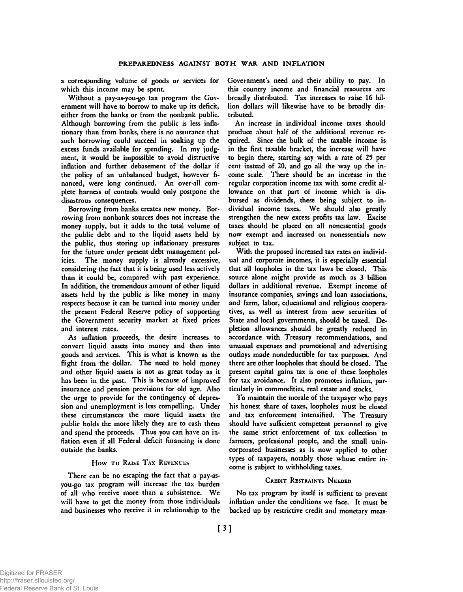a corresponding volume of goods or services for which this income may be spent.

Without a pay-as-you-go tax program the Government will have to borrow to make up its deficit, either from the banks or from the nonbank public. Although borrowing from the public is less inflationary than from banks, there is no assurance that such borrowing could succeed in soaking up the excess funds available for spending. In my judgment, it would be impossible to avoid distructive inflation and further debasement of the dollar if the policy of an unbalanced budget, however financed, were long continued. An over-all complete harness of controls would only postpone the disastrous consequences.

Borrowing from banks creates new money. Borrowing from nonbank sources does not increase the money supply, but it adds to the total volume of the public debt and to the liquid assets held by the public, thus storing up inflationary pressures for the future under present debt management policies. The money supply is already excessive, considering the fact that it is being used less actively than it could be, compared with past experience. In addition, the tremendous amount of other liquid assets held by the public is like money in many respects because it can be turned into money under the present Federal Reserve policy of supporting the Government security market at fixed prices and interest rates.

As inflation proceeds, the desire increases to convert liquid assets into money and then into goods and services. This is what is known as the flight from the dollar. The need to hold money and other liquid assets is not as great today as it has been in the past. This is because of improved insurance and pension provisions for old age. Also the urge to provide for the contingency of depression and unemployment is less compelling. Under these circumstances the more liquid assets the public holds the more likely they are to cash them and spend the proceeds. Thus you can have an inflation even if all Federal deficit financing is done outside the banks.

### How TO RAISE TAX REVENUES

There can be no escaping the fact that a pay-asyou-go tax program will increase the tax burden of all who receive more than a subsistence. We will have to get the money from those individuals and businesses who receive it in relationship to the Government's need and their ability to pay. In this country income and financial resources are broadly distributed. Tax increases to raise 16 billion dollars will likewise have to be broadly distributed.

An increase in individual income taxes should produce about half of the additional revenue required. Since the bulk of the taxable income is in the first taxable bracket, the increase will have to begin there, starting say with a rate of 25 per cent instead of 20, and go all the way up the income scale. There should be an increase in the regular corporation income tax with some credit allowance on that part of income which is disbursed as dividends, these being subject to individual income taxes. We should also greatly strengthen the new excess profits tax law. Excise taxes should be placed on all nonessential goods now exempt and increased on nonessentials now subject to tax.

With the proposed increased tax rates on individual and corporate incomes, it is especially essential that all loopholes in the tax laws be closed. This source alone might provide as much as 3 billion dollars in additional revenue. Exempt income of insurance companies, savings and loan associations, and farm, labor, educational and religious cooperatives, as well as interest from new securities of State and local governments, should be taxed. Depletion allowances should be greatly reduced in accordance with Treasury recommendations, and unusual expenses and promotional and advertising outlays made nondeductible for tax purposes. And there are other loopholes that should be closed. The present capital gains tax is one of these loopholes for tax avoidance. It also promotes inflation, particularly in commodities, real estate and stocks.

To maintain the morale of the taxpayer who pays his honest share of taxes, loopholes must be closed and tax enforcement intensified. The Treasury should have sufficient competent personnel to give the same strict enforcement of tax collection to farmers, professional people, and the small unincorporated businesses as is now applied to other types of taxpayers, notably those whose entire income is subject to withholding taxes.

### CREDIT RESTRAINTS NEEDED

No tax program by itself is sufficient to prevent inflation under the conditions we face. It must be backed up by restrictive credit and monetary meas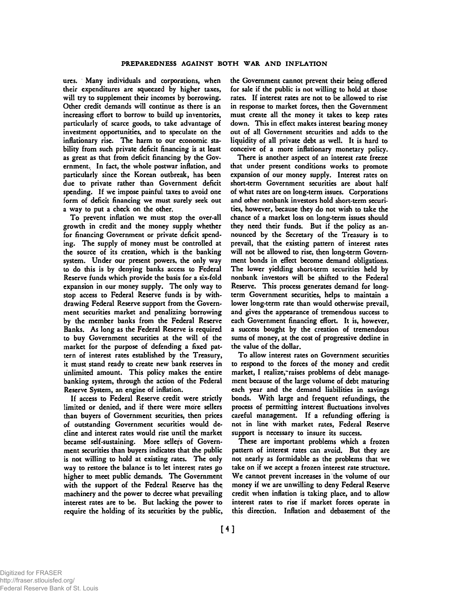ures. Many individuals and corporations, when their expenditures are squeezed by higher taxes, will try to supplement their incomes by borrowing. Other credit demands will continue as there is an increasing effort to borrow to build up inventories, particularly of scarce goods, to take advantage of investment opportunities, and to speculate on the inflationary rise. The harm to our economic stability from such private deficit financing is at least as great as that from deficit financing by the Government. In fact, the whole postwar inflation, and particularly since the Korean outbreak, has been due to private rather than Government deficit spending. If we impose painful taxes to avoid one form of deficit financing we must surely seek out a way to put a check on the other.

To prevent inflation we must stop the over-all growth in credit and the money supply whether for financing Government or private deficit spending. The supply of money must be controlled at the source of its creation, which is the banking system. Under our present powers, the only way to do this is by denying banks access to Federal Reserve funds which provide the basis for a six-fold expansion in our money supply. The only way to stop access to Federal Reserve funds is by withdrawing Federal Reserve support from the Government securities market and penalizing borrowing by the member banks from the Federal Reserve Banks. As long as the Federal Reserve is required to buy Government securities at the will of the market for the purpose of defending a fixed pattern of interest rates established by the Treasury, it must stand ready to create new bank reserves in unlimited amount. This policy makes the entire banking system, through the action of the Federal Reserve System, an engine of inflation.

If access to Federal Reserve credit were strictly limited or denied, and if there were more sellers than buyers of Government securities, then prices of outstanding Government securities would decline and interest rates would rise until the market became self-sustaining. More sellers of Government securities than buyers indicates that the public is not willing to hold at existing rates. The only way to restore the balance is to let interest rates go higher to meet public demands. The Government with the support of the Federal Reserve has the machinery and the power to decree what prevailing interest rates are to be. But lacking the power to require the holding of its securities by the public,

the Government cannot prevent their being offered for sale if the public is not willing to hold at those rates. If interest rates are not to be allowed to rise in response to market forces, then the Government must create all the money it takes to keep rates down. This in effect makes interest bearing money out of all Government securities and adds to the liquidity of all private debt as well. It is hard to conceive of a more inflationary monetary policy.

There is another aspect of an interest rate freeze that under present conditions works to promote expansion of our money supply. Interest rates on short-term Government securities are about half of what rates are on long-term issues. Corporations and other nonbank investors hold short-term securities, however, because they do not wish to take the chance of a market loss on long-term issues should they need their funds. But if the policy as announced by the Secretary of the Treasury is to prevail, that the existing pattern of interest rates will not be allowed to rise, then long-term Government bonds in effect become demand obligations. The lower yielding short-term securities held by nonbank investors will be shifted to the Federal Reserve. This process generates demand for longterm Government securities, helps to maintain a lower long-term rate than would otherwise prevail, and gives the appearance of tremendous success to each Government financing effort. It is, however, a success bought by the creation of tremendous sums of money, at the cost of progressive decline in the value of the dollar.

To allow interest rates on Government securities to respond to the forces of the money and credit market, I realize, raises problems of debt management because of the large volume of debt maturing each year and the demand liabilities in savings bonds. With large and frequent refundings, the process of permitting interest fluctuations involves careful management. If a refunding offering is not in line with market rates, Federal Reserve support is necessary to insure its success.

These are important problems which a frozen pattern of interest rates can avoid. But they are not nearly as formidable as the problems that we take on if we accept a frozen interest rate structure. We cannot prevent increases in the volume of our money if we arc unwilling to deny Federal Reserve credit when inflation is taking place, and to allow interest rates to rise if market forces operate in this direction. Inflation and debasement of the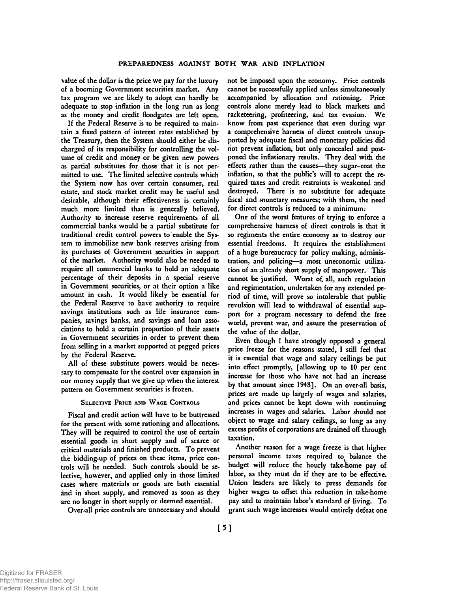value of the dollar is the price we pay for the luxury of a booming Government securities market. Any tax program we are likely to adopt can hardly be adequate to stop inflation in the long run as long as the money and credit floodgates are left open.

If the Federal Reserve is to be required to maintain a fixed pattern of interest rates established by the Treasury, then the System should either be discharged of its responsibility for controlling the volume of credit and money or be given new powers as partial substitutes for those that it is not permitted to use. The limited selective controls which the System now has over certain consumer, real estate, and stock market credit may be useful and desirable, although their effectiveness is certainly much more limited than is generally believed. Authority to increase reserve requirements of all commercial banks would be a partial substitute for traditional credit control powers to enable the System to immobilize new bank reserves arising from its purchases of Government securities in support of the market. Authority would also be needed to require all commercial banks to hold an adequate percentage of their deposits in a special reserve in Government securities, or at their option a like amount in cash. It would likely be essential for the Federal Reserve to have authority to require savings institutions such as life insurance companies, savings banks, and savings and loan associations to hold a certain proportion of their assets in Government securities in order to prevent them from selling in a market supported at pegged prices by the Federal Reserve.

All of these substitute powers would be necessary to compensate for the control over expansion in our money supply that we give up when the interest pattern on Government securities is frozen.

### SELECTIVE PRICE AND WAGE CONTROLS

Fiscal and credit action will have to be buttressed for the present with some rationing and allocations. They will be required to control the use of certain essential goods in short supply and of scarce or critical materials and finished products. To prevent the bidding-up of prices on these items, price controls will be needed. Such controls should be selective, however, and applied only in those limited cases where materials or goods are both essential and in short supply, and removed as soon as they are no longer in short supply or deemed essential.

Over-all price controls are unnecessary and should

not be imposed upon the economy. Price controls cannot be successfully applied unless simultaneously accompanied by allocation and rationing. Price controls alone merely lead to black markets and racketeering, profiteering, and tax evasion. We know from past experience that even during war a comprehensive harness of direct controls unsupported by adequate fiscal and monetary policies did not prevent inflation, but only concealed and postponed the inflationary results. They deal with the effects rather than the causes—they sugar-coat the inflation, so that the public's will to accept the required taxes and credit restraints is weakened and destroyed. There is no substitute for adequate fiscal and monetary measures; with them, the need<br>for direct controls is reduced to a minimum.

for direct controls is reduced to a minimum; One of the worst features of trying to enforce a comprehensive harness of direct controls is that it so regiments the entire economy as to destroy our essential freedoms. It requires the establishment of a huge bureaucracy for policy making, administration, and policing—a most uneconomic utilization of an already short supply of manpower. This cannot be justified. Worst o£ all, such regulation and regimentation, undertaken for any extended period of time, will prove so intolerable that public revulsion will lead to withdrawal of essential support for a program necessary to defend the free world, prevent war, and assure the preservation of the value of the dollar.

Even though I have strongly opposed a general price freeze for the reasons stated, I still feel that it is essential that wage and salary ceilings be put into effect promptly, [allowing up to 10 per cent increase for those who have not had an increase by that amount since 1948]. On an over-all basis, prices are made up largely of wages and salaries, and prices cannot be kept down with continuing increases in wages and salaries. Labor should not object to wage and salary ceilings, so long as any excess profits of corporations are drained off through taxation.

Another reason for a wage freeze is that higher personal income taxes required to balance the budget will reduce the hourly take-home pay of labor, as they must do if they are to be effective. Union leaders are likely to press demands for higher wages to offset this reduction in take-home pay and to maintain labor's standard of living. To grant such wage increases would entirely defeat one